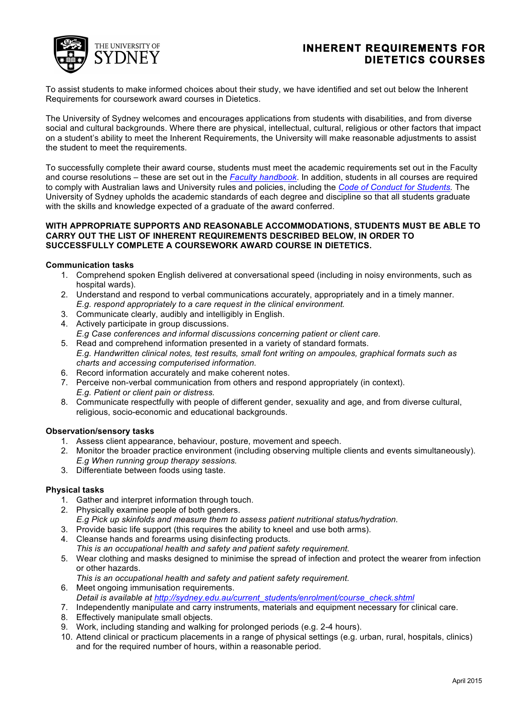

# **INHERENT REQUIREMENTS FOR DIETETICS COURSES**

To assist students to make informed choices about their study, we have identified and set out below the Inherent Requirements for coursework award courses in Dietetics.

The University of Sydney welcomes and encourages applications from students with disabilities, and from diverse social and cultural backgrounds. Where there are physical, intellectual, cultural, religious or other factors that impact on a student's ability to meet the Inherent Requirements, the University will make reasonable adjustments to assist the student to meet the requirements.

To successfully complete their award course, students must meet the academic requirements set out in the Faculty and course resolutions – these are set out in the *Faculty handbook*. In addition, students in all courses are required to comply with Australian laws and University rules and policies, including the *Code of Conduct for Students.* The University of Sydney upholds the academic standards of each degree and discipline so that all students graduate with the skills and knowledge expected of a graduate of the award conferred.

### **WITH APPROPRIATE SUPPORTS AND REASONABLE ACCOMMODATIONS, STUDENTS MUST BE ABLE TO CARRY OUT THE LIST OF INHERENT REQUIREMENTS DESCRIBED BELOW, IN ORDER TO SUCCESSFULLY COMPLETE A COURSEWORK AWARD COURSE IN DIETETICS.**

# **Communication tasks**

- 1. Comprehend spoken English delivered at conversational speed (including in noisy environments, such as hospital wards).
- 2. Understand and respond to verbal communications accurately, appropriately and in a timely manner. *E.g. respond appropriately to a care request in the clinical environment.*
- 3. Communicate clearly, audibly and intelligibly in English.
- 4. Actively participate in group discussions. *E.g Case conferences and informal discussions concerning patient or client care.*
- 5. Read and comprehend information presented in a variety of standard formats. *E.g. Handwritten clinical notes, test results, small font writing on ampoules, graphical formats such as charts and accessing computerised information.*
- 6. Record information accurately and make coherent notes.
- 7. Perceive non-verbal communication from others and respond appropriately (in context). *E.g. Patient or client pain or distress.*
- 8. Communicate respectfully with people of different gender, sexuality and age, and from diverse cultural, religious, socio-economic and educational backgrounds.

#### **Observation/sensory tasks**

- 1. Assess client appearance, behaviour, posture, movement and speech.
- 2. Monitor the broader practice environment (including observing multiple clients and events simultaneously). *E.g When running group therapy sessions.*
- 3. Differentiate between foods using taste.

#### **Physical tasks**

- 1. Gather and interpret information through touch.
- 2. Physically examine people of both genders.
- *E.g Pick up skinfolds and measure them to assess patient nutritional status/hydration.*
- 3. Provide basic life support (this requires the ability to kneel and use both arms).
- 4. Cleanse hands and forearms using disinfecting products. *This is an occupational health and safety and patient safety requirement.*
- 5. Wear clothing and masks designed to minimise the spread of infection and protect the wearer from infection or other hazards.
	- *This is an occupational health and safety and patient safety requirement.*
- 6. Meet ongoing immunisation requirements.
- *Detail is available at http://sydney.edu.au/current\_students/enrolment/course\_check.shtml* 7. Independently manipulate and carry instruments, materials and equipment necessary for clinical care.
- 8. Effectively manipulate small objects.
- 9. Work, including standing and walking for prolonged periods (e.g. 2-4 hours).
- 10. Attend clinical or practicum placements in a range of physical settings (e.g. urban, rural, hospitals, clinics) and for the required number of hours, within a reasonable period.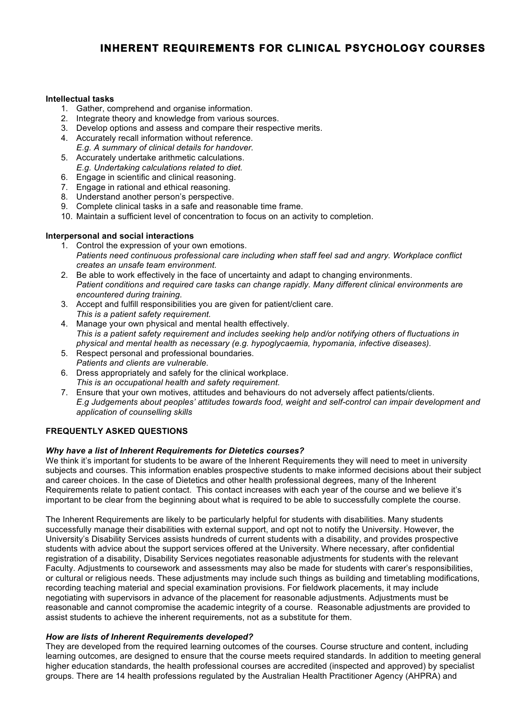# **INHERENT REQUIREMENTS FOR CLINICAL PSYCHOLOGY COURSES**

# **Intellectual tasks**

- 1. Gather, comprehend and organise information.
- 2. Integrate theory and knowledge from various sources.
- 3. Develop options and assess and compare their respective merits.
- 4. Accurately recall information without reference. *E.g. A summary of clinical details for handover.*
- 5. Accurately undertake arithmetic calculations. *E.g. Undertaking calculations related to diet.*
- 6. Engage in scientific and clinical reasoning.
- 7. Engage in rational and ethical reasoning.
- 8. Understand another person's perspective.
- 9. Complete clinical tasks in a safe and reasonable time frame.
- 10. Maintain a sufficient level of concentration to focus on an activity to completion.

# **Interpersonal and social interactions**

- 1. Control the expression of your own emotions. *Patients need continuous professional care including when staff feel sad and angry. Workplace conflict creates an unsafe team environment.*
- 2. Be able to work effectively in the face of uncertainty and adapt to changing environments. *Patient conditions and required care tasks can change rapidly. Many different clinical environments are encountered during training.*
- 3. Accept and fulfill responsibilities you are given for patient/client care. *This is a patient safety requirement.*
- 4. Manage your own physical and mental health effectively. *This is a patient safety requirement and includes seeking help and/or notifying others of fluctuations in physical and mental health as necessary (e.g. hypoglycaemia, hypomania, infective diseases).*
- 5. Respect personal and professional boundaries. *Patients and clients are vulnerable.*
- 6. Dress appropriately and safely for the clinical workplace. *This is an occupational health and safety requirement.*
- 7. Ensure that your own motives, attitudes and behaviours do not adversely affect patients/clients. *E.g Judgements about peoples' attitudes towards food, weight and self-control can impair development and application of counselling skills*

# **FREQUENTLY ASKED QUESTIONS**

# *Why have a list of Inherent Requirements for Dietetics courses?*

We think it's important for students to be aware of the Inherent Requirements they will need to meet in university subjects and courses. This information enables prospective students to make informed decisions about their subject and career choices. In the case of Dietetics and other health professional degrees, many of the Inherent Requirements relate to patient contact. This contact increases with each year of the course and we believe it's important to be clear from the beginning about what is required to be able to successfully complete the course.

The Inherent Requirements are likely to be particularly helpful for students with disabilities. Many students successfully manage their disabilities with external support, and opt not to notify the University. However, the University's Disability Services assists hundreds of current students with a disability, and provides prospective students with advice about the support services offered at the University. Where necessary, after confidential registration of a disability, Disability Services negotiates reasonable adjustments for students with the relevant Faculty. Adjustments to coursework and assessments may also be made for students with carer's responsibilities, or cultural or religious needs. These adjustments may include such things as building and timetabling modifications, recording teaching material and special examination provisions. For fieldwork placements, it may include negotiating with supervisors in advance of the placement for reasonable adjustments. Adjustments must be reasonable and cannot compromise the academic integrity of a course. Reasonable adjustments are provided to assist students to achieve the inherent requirements, not as a substitute for them.

# *How are lists of Inherent Requirements developed?*

They are developed from the required learning outcomes of the courses. Course structure and content, including learning outcomes, are designed to ensure that the course meets required standards. In addition to meeting general higher education standards, the health professional courses are accredited (inspected and approved) by specialist groups. There are 14 health professions regulated by the Australian Health Practitioner Agency (AHPRA) and